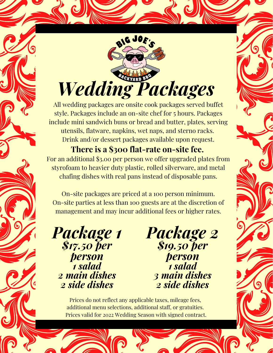

All wedding packages are onsite cook packages served buffet style. Packages include an on-site chef for 5 hours. Packages include mini sandwich buns or bread and butter, plates, serving utensils, flatware, napkins, wet naps, and sterno racks. Drink and/or dessert packages available upon request.

**There is a \$300 flat-rate on-site fee.** For an additional \$3.00 per person we offer upgraded plates from styrofoam to heavier duty plastic, rolled silverware, and metal chafing dishes with real pans instead of disposable pans.

On-site packages are priced at a 100 person minimum. On-site parties at less than 100 guests are at the discretion of management and may incur additional fees or higher rates.

*Package 1 \$17.50 per person 1 salad 2 main dishes 2 side dishes*

*Package 2 \$19.50 per person 1 salad 3 main dishes 2 side dishes*

Prices do not reflect any applicable taxes, mileage fees, additional menu selections, additional staff, or gratuities. Prices valid for 2022 Wedding Season with signed contract.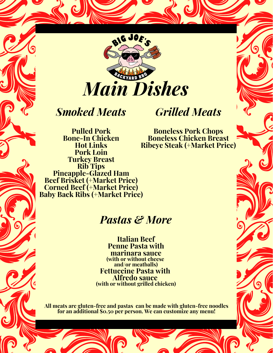

## *Smoked Meats*

#### **Pulled Pork Bone-In Chicken Hot Links Pork Loin Turkey Breast Rib Tips Pineapple-Glazed Ham Beef Brisket (+Market Price) Corned Beef (+Market Price) Baby Back Ribs (+Market Price)**

# *Grilled Meats*

**Boneless Pork Chops Boneless Chicken Breast Ribeye Steak (+Market Price)**

## *Pastas & More*

**Italian Beef Penne Pasta with marinara sauce (with or without cheese and/or meatballs) Fettuccine Pasta with Alfredo sauce (with or without grilled chicken)**

**All meats are gluten-free and pastas can be made with gluten-free noodles for an additional \$0.50 per person. We can customize any menu!**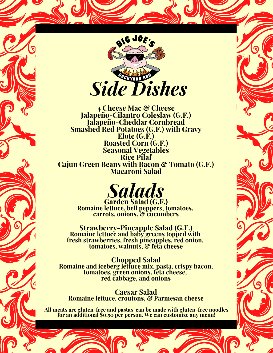

**4 Cheese Mac & Cheese Jalapeño-Cilantro Coleslaw (G.F.) Jalapeño-Cheddar Cornbread Smashed Red Potatoes (G.F.) with Gravy Elote (G.F.) Roasted Corn (G.F.) Seasonal Vegetables Rice Pilaf Cajun Green Beans with Bacon & Tomato (G.F.) Macaroni Salad**



**Garden Salad (G.F.) Romaine lettuce, bell peppers, tomatoes, carrots, onions, & cucumbers**

**Strawberry-Pineapple Salad (G.F.) Romaine lettuce and baby greens topped with fresh strawberries, fresh pineapples, red onion, tomatoes, walnuts, & feta cheese**

**Chopped Salad Romaine and iceberg lettuce mix, pasta, crispy bacon, tomatoes, green onions, feta cheese, red cabbage, and onions**

**Caesar Salad Romaine lettuce, croutons, & Parmesan cheese**

**All meats are gluten-free and pastas can be made with gluten-free noodles for an additional \$0.50 per person. We can customize any menu!**